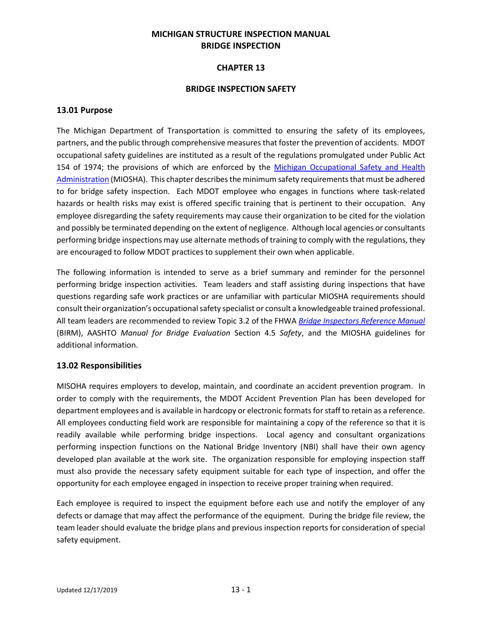## **MICHIGAN STRUCTURE INSPECTION MANUAL BRIDGE INSPECTION**

## **CHAPTER 13**

#### **BRIDGE INSPECTION SAFETY**

#### **13.01 Purpose**

The Michigan Department of Transportation is committed to ensuring the safety of its employees, partners, and the public through comprehensive measures that foster the prevention of accidents. MDOT occupational safety guidelines are instituted as a result of the regulations promulgated under Public Act 154 of 1974; the provisions of which are enforced by the [Michigan Occupational Safety and Health](http://www.michigan.gov/lara/0,4601,7-154-61256_11407_15368-39938--,00.html)  [Administration](http://www.michigan.gov/lara/0,4601,7-154-61256_11407_15368-39938--,00.html) (MIOSHA). This chapter describes the minimum safety requirements that must be adhered to for bridge safety inspection. Each MDOT employee who engages in functions where task-related hazards or health risks may exist is offered specific training that is pertinent to their occupation. Any employee disregarding the safety requirements may cause their organization to be cited for the violation and possibly be terminated depending on the extent of negligence. Although local agencies or consultants performing bridge inspections may use alternate methods of training to comply with the regulations, they are encouraged to follow MDOT practices to supplement their own when applicable.

The following information is intended to serve as a brief summary and reminder for the personnel performing bridge inspection activities. Team leaders and staff assisting during inspections that have questions regarding safe work practices or are unfamiliar with particular MIOSHA requirements should consult their organization's occupational safety specialist or consult a knowledgeable trained professional. All team leaders are recommended to review Topic 3.2 of the FHWA *[Bridge Inspectors Reference Manual](http://www.fhwa.dot.gov/bridge/nbis/pubs/nhi12049.pdf)* (BIRM), AASHTO *Manual for Bridge Evaluation* Section 4.5 *Safety*, and the MIOSHA guidelines for additional information.

#### **13.02 Responsibilities**

MISOHA requires employers to develop, maintain, and coordinate an accident prevention program. In order to comply with the requirements, the MDOT Accident Prevention Plan has been developed for department employees and is available in hardcopy or electronic formats for staff to retain as a reference. All employees conducting field work are responsible for maintaining a copy of the reference so that it is readily available while performing bridge inspections. Local agency and consultant organizations performing inspection functions on the National Bridge Inventory (NBI) shall have their own agency developed plan available at the work site. The organization responsible for employing inspection staff must also provide the necessary safety equipment suitable for each type of inspection, and offer the opportunity for each employee engaged in inspection to receive proper training when required.

Each employee is required to inspect the equipment before each use and notify the employer of any defects or damage that may affect the performance of the equipment. During the bridge file review, the team leader should evaluate the bridge plans and previous inspection reports for consideration of special safety equipment.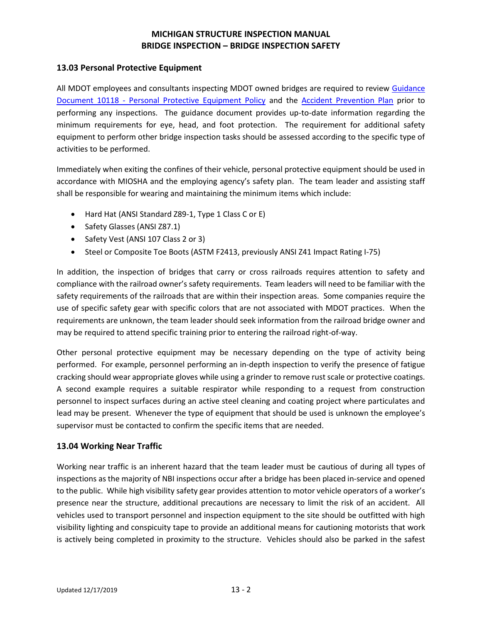### **13.03 Personal Protective Equipment**

All MDOT employees and consultants inspecting MDOT owned bridges are required to review [Guidance](https://www.michigan.gov/documents/mdot/10118_316887_7.pdf)  Document 10118 - [Personal Protective Equipment Policy](https://www.michigan.gov/documents/mdot/10118_316887_7.pdf) and the [Accident Prevention Plan](http://inside.michigan.gov/sites/mdot/highways/safety-security/Shared%20Documents/Accident%20Prevention%20Plan%205-2013.pdf) prior to performing any inspections. The guidance document provides up-to-date information regarding the minimum requirements for eye, head, and foot protection. The requirement for additional safety equipment to perform other bridge inspection tasks should be assessed according to the specific type of activities to be performed.

Immediately when exiting the confines of their vehicle, personal protective equipment should be used in accordance with MIOSHA and the employing agency's safety plan. The team leader and assisting staff shall be responsible for wearing and maintaining the minimum items which include:

- Hard Hat (ANSI Standard Z89-1, Type 1 Class C or E)
- Safety Glasses (ANSI Z87.1)
- Safety Vest (ANSI 107 Class 2 or 3)
- Steel or Composite Toe Boots (ASTM F2413, previously ANSI Z41 Impact Rating I-75)

In addition, the inspection of bridges that carry or cross railroads requires attention to safety and compliance with the railroad owner's safety requirements. Team leaders will need to be familiar with the safety requirements of the railroads that are within their inspection areas. Some companies require the use of specific safety gear with specific colors that are not associated with MDOT practices. When the requirements are unknown, the team leader should seek information from the railroad bridge owner and may be required to attend specific training prior to entering the railroad right-of-way.

Other personal protective equipment may be necessary depending on the type of activity being performed. For example, personnel performing an in-depth inspection to verify the presence of fatigue cracking should wear appropriate gloves while using a grinder to remove rust scale or protective coatings. A second example requires a suitable respirator while responding to a request from construction personnel to inspect surfaces during an active steel cleaning and coating project where particulates and lead may be present. Whenever the type of equipment that should be used is unknown the employee's supervisor must be contacted to confirm the specific items that are needed.

## **13.04 Working Near Traffic**

Working near traffic is an inherent hazard that the team leader must be cautious of during all types of inspections as the majority of NBI inspections occur after a bridge has been placed in-service and opened to the public. While high visibility safety gear provides attention to motor vehicle operators of a worker's presence near the structure, additional precautions are necessary to limit the risk of an accident. All vehicles used to transport personnel and inspection equipment to the site should be outfitted with high visibility lighting and conspicuity tape to provide an additional means for cautioning motorists that work is actively being completed in proximity to the structure. Vehicles should also be parked in the safest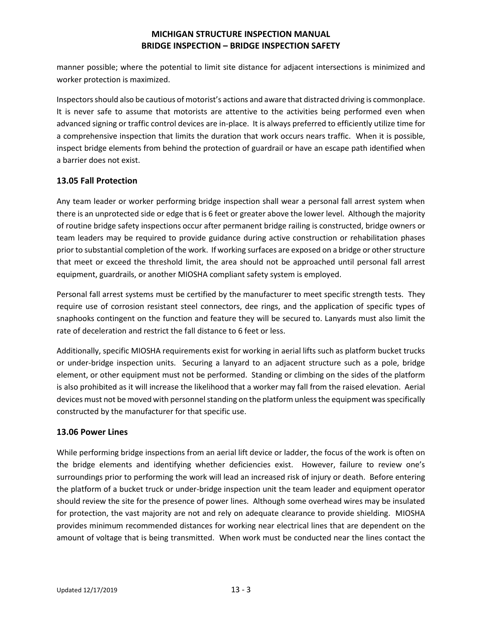manner possible; where the potential to limit site distance for adjacent intersections is minimized and worker protection is maximized.

Inspectors should also be cautious of motorist's actions and aware that distracted driving is commonplace. It is never safe to assume that motorists are attentive to the activities being performed even when advanced signing or traffic control devices are in-place. It is always preferred to efficiently utilize time for a comprehensive inspection that limits the duration that work occurs nears traffic. When it is possible, inspect bridge elements from behind the protection of guardrail or have an escape path identified when a barrier does not exist.

### **13.05 Fall Protection**

Any team leader or worker performing bridge inspection shall wear a personal fall arrest system when there is an unprotected side or edge that is 6 feet or greater above the lower level. Although the majority of routine bridge safety inspections occur after permanent bridge railing is constructed, bridge owners or team leaders may be required to provide guidance during active construction or rehabilitation phases prior to substantial completion of the work. If working surfaces are exposed on a bridge or other structure that meet or exceed the threshold limit, the area should not be approached until personal fall arrest equipment, guardrails, or another MIOSHA compliant safety system is employed.

Personal fall arrest systems must be certified by the manufacturer to meet specific strength tests. They require use of corrosion resistant steel connectors, dee rings, and the application of specific types of snaphooks contingent on the function and feature they will be secured to. Lanyards must also limit the rate of deceleration and restrict the fall distance to 6 feet or less.

Additionally, specific MIOSHA requirements exist for working in aerial lifts such as platform bucket trucks or under-bridge inspection units. Securing a lanyard to an adjacent structure such as a pole, bridge element, or other equipment must not be performed. Standing or climbing on the sides of the platform is also prohibited as it will increase the likelihood that a worker may fall from the raised elevation. Aerial devices must not be moved with personnel standing on the platform unless the equipment was specifically constructed by the manufacturer for that specific use.

#### **13.06 Power Lines**

While performing bridge inspections from an aerial lift device or ladder, the focus of the work is often on the bridge elements and identifying whether deficiencies exist. However, failure to review one's surroundings prior to performing the work will lead an increased risk of injury or death. Before entering the platform of a bucket truck or under-bridge inspection unit the team leader and equipment operator should review the site for the presence of power lines. Although some overhead wires may be insulated for protection, the vast majority are not and rely on adequate clearance to provide shielding. MIOSHA provides minimum recommended distances for working near electrical lines that are dependent on the amount of voltage that is being transmitted. When work must be conducted near the lines contact the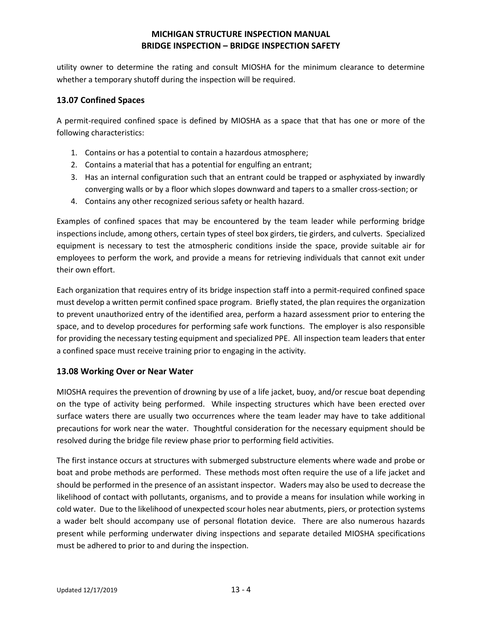utility owner to determine the rating and consult MIOSHA for the minimum clearance to determine whether a temporary shutoff during the inspection will be required.

### **13.07 Confined Spaces**

A permit-required confined space is defined by MIOSHA as a space that that has one or more of the following characteristics:

- 1. Contains or has a potential to contain a hazardous atmosphere;
- 2. Contains a material that has a potential for engulfing an entrant;
- 3. Has an internal configuration such that an entrant could be trapped or asphyxiated by inwardly converging walls or by a floor which slopes downward and tapers to a smaller cross-section; or
- 4. Contains any other recognized serious safety or health hazard.

Examples of confined spaces that may be encountered by the team leader while performing bridge inspections include, among others, certain types of steel box girders, tie girders, and culverts. Specialized equipment is necessary to test the atmospheric conditions inside the space, provide suitable air for employees to perform the work, and provide a means for retrieving individuals that cannot exit under their own effort.

Each organization that requires entry of its bridge inspection staff into a permit-required confined space must develop a written permit confined space program. Briefly stated, the plan requires the organization to prevent unauthorized entry of the identified area, perform a hazard assessment prior to entering the space, and to develop procedures for performing safe work functions. The employer is also responsible for providing the necessary testing equipment and specialized PPE. All inspection team leaders that enter a confined space must receive training prior to engaging in the activity.

#### **13.08 Working Over or Near Water**

MIOSHA requires the prevention of drowning by use of a life jacket, buoy, and/or rescue boat depending on the type of activity being performed. While inspecting structures which have been erected over surface waters there are usually two occurrences where the team leader may have to take additional precautions for work near the water. Thoughtful consideration for the necessary equipment should be resolved during the bridge file review phase prior to performing field activities.

The first instance occurs at structures with submerged substructure elements where wade and probe or boat and probe methods are performed. These methods most often require the use of a life jacket and should be performed in the presence of an assistant inspector. Waders may also be used to decrease the likelihood of contact with pollutants, organisms, and to provide a means for insulation while working in cold water. Due to the likelihood of unexpected scour holes near abutments, piers, or protection systems a wader belt should accompany use of personal flotation device. There are also numerous hazards present while performing underwater diving inspections and separate detailed MIOSHA specifications must be adhered to prior to and during the inspection.